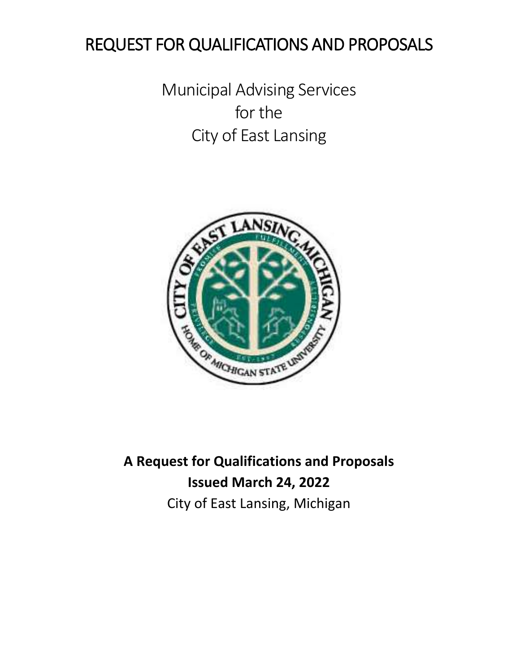# REQUEST FOR QUALIFICATIONS AND PROPOSALS

Municipal Advising Services for the City of East Lansing



**A Request for Qualifications and Proposals Issued March 24, 2022** City of East Lansing, Michigan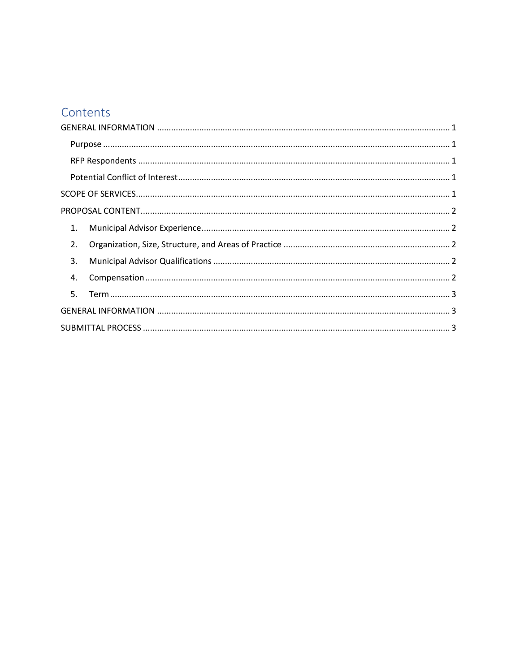### Contents

| 1. |
|----|
| 2. |
| 3. |
| 4. |
| 5. |
|    |
|    |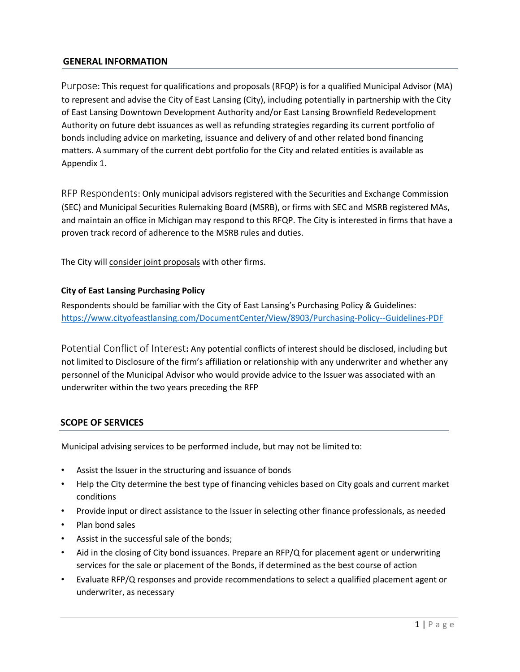#### <span id="page-2-0"></span>**GENERAL INFORMATION**

<span id="page-2-1"></span>Purpose: This request for qualifications and proposals (RFQP) is for a qualified Municipal Advisor (MA) to represent and advise the City of East Lansing (City), including potentially in partnership with the City of East Lansing Downtown Development Authority and/or East Lansing Brownfield Redevelopment Authority on future debt issuances as well as refunding strategies regarding its current portfolio of bonds including advice on marketing, issuance and delivery of and other related bond financing matters. A summary of the current debt portfolio for the City and related entities is available as Appendix 1.

<span id="page-2-2"></span>RFP Respondents: Only municipal advisors registered with the Securities and Exchange Commission (SEC) and Municipal Securities Rulemaking Board (MSRB), or firms with SEC and MSRB registered MAs, and maintain an office in Michigan may respond to this RFQP. The City is interested in firms that have a proven track record of adherence to the MSRB rules and duties.

The City will consider joint proposals with other firms.

#### **City of East Lansing Purchasing Policy**

Respondents should be familiar with the City of East Lansing's Purchasing Policy & Guidelines: <https://www.cityofeastlansing.com/DocumentCenter/View/8903/Purchasing-Policy--Guidelines-PDF>

<span id="page-2-3"></span>Potential Conflict of Interest**:** Any potential conflicts of interest should be disclosed, including but not limited to Disclosure of the firm's affiliation or relationship with any underwriter and whether any personnel of the Municipal Advisor who would provide advice to the Issuer was associated with an underwriter within the two years preceding the RFP

#### <span id="page-2-4"></span>**SCOPE OF SERVICES**

Municipal advising services to be performed include, but may not be limited to:

- Assist the Issuer in the structuring and issuance of bonds
- Help the City determine the best type of financing vehicles based on City goals and current market conditions
- Provide input or direct assistance to the Issuer in selecting other finance professionals, as needed
- Plan bond sales
- Assist in the successful sale of the bonds;
- Aid in the closing of City bond issuances. Prepare an RFP/Q for placement agent or underwriting services for the sale or placement of the Bonds, if determined as the best course of action
- Evaluate RFP/Q responses and provide recommendations to select a qualified placement agent or underwriter, as necessary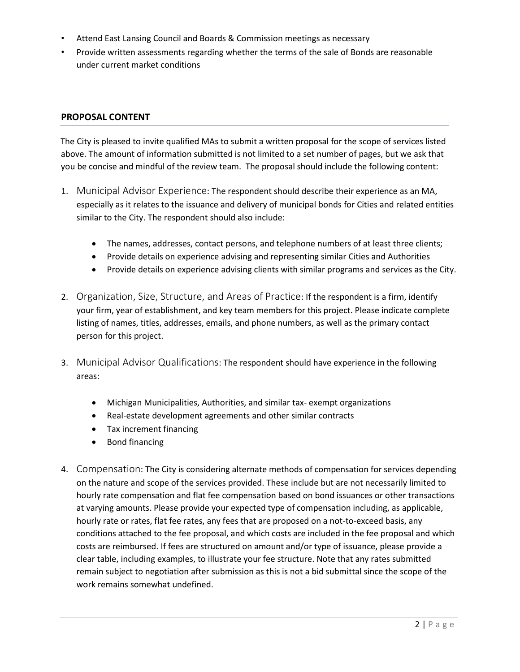- Attend East Lansing Council and Boards & Commission meetings as necessary
- Provide written assessments regarding whether the terms of the sale of Bonds are reasonable under current market conditions

#### <span id="page-3-0"></span>**PROPOSAL CONTENT**

The City is pleased to invite qualified MAs to submit a written proposal for the scope of services listed above. The amount of information submitted is not limited to a set number of pages, but we ask that you be concise and mindful of the review team. The proposal should include the following content:

- <span id="page-3-1"></span>1. Municipal Advisor Experience: The respondent should describe their experience as an MA, especially as it relates to the issuance and delivery of municipal bonds for Cities and related entities similar to the City. The respondent should also include:
	- The names, addresses, contact persons, and telephone numbers of at least three clients;
	- Provide details on experience advising and representing similar Cities and Authorities
	- Provide details on experience advising clients with similar programs and services as the City.
- <span id="page-3-2"></span>2. Organization, Size, Structure, and Areas of Practice: If the respondent is a firm, identify your firm, year of establishment, and key team members for this project. Please indicate complete listing of names, titles, addresses, emails, and phone numbers, as well as the primary contact person for this project.
- <span id="page-3-3"></span>3. Municipal Advisor Qualifications: The respondent should have experience in the following areas:
	- Michigan Municipalities, Authorities, and similar tax- exempt organizations
	- Real-estate development agreements and other similar contracts
	- Tax increment financing
	- Bond financing
- <span id="page-3-5"></span><span id="page-3-4"></span>4. Compensation: The City is considering alternate methods of compensation for services depending on the nature and scope of the services provided. These include but are not necessarily limited to hourly rate compensation and flat fee compensation based on bond issuances or other transactions at varying amounts. Please provide your expected type of compensation including, as applicable, hourly rate or rates, flat fee rates, any fees that are proposed on a not-to-exceed basis, any conditions attached to the fee proposal, and which costs are included in the fee proposal and which costs are reimbursed. If fees are structured on amount and/or type of issuance, please provide a clear table, including examples, to illustrate your fee structure. Note that any rates submitted remain subject to negotiation after submission as this is not a bid submittal since the scope of the work remains somewhat undefined.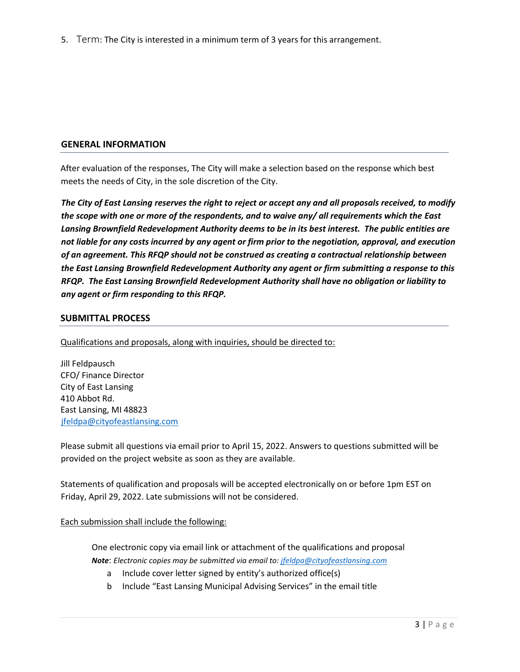5. Term: The City is interested in a minimum term of 3 years for this arrangement.

#### <span id="page-4-0"></span>**GENERAL INFORMATION**

After evaluation of the responses, The City will make a selection based on the response which best meets the needs of City, in the sole discretion of the City.

*The City of East Lansing reserves the right to reject or accept any and all proposals received, to modify the scope with one or more of the respondents, and to waive any/ all requirements which the East Lansing Brownfield Redevelopment Authority deems to be in its best interest. The public entities are not liable for any costs incurred by any agent or firm prior to the negotiation, approval, and execution of an agreement. This RFQP should not be construed as creating a contractual relationship between the East Lansing Brownfield Redevelopment Authority any agent or firm submitting a response to this RFQP. The East Lansing Brownfield Redevelopment Authority shall have no obligation or liability to any agent or firm responding to this RFQP.* 

#### <span id="page-4-1"></span>**SUBMITTAL PROCESS**

Qualifications and proposals, along with inquiries, should be directed to:

Jill Feldpausch CFO/ Finance Director City of East Lansing 410 Abbot Rd. East Lansing, MI 48823 [jfeldpa@cityofeastlansing.com](mailto:jfeldpa@cityofeastlansing.com)

Please submit all questions via email prior to April 15, 2022. Answers to questions submitted will be provided on the project website as soon as they are available.

Statements of qualification and proposals will be accepted electronically on or before 1pm EST on Friday, April 29, 2022. Late submissions will not be considered.

#### Each submission shall include the following:

One electronic copy via email link or attachment of the qualifications and proposal *Note*: *Electronic copies may be submitted via email to[: jfeldpa@cityofeastlansing.com](mailto:jfeldpa@cityofeastlansing.com)*

- a Include cover letter signed by entity's authorized office(s)
- b Include "East Lansing Municipal Advising Services" in the email title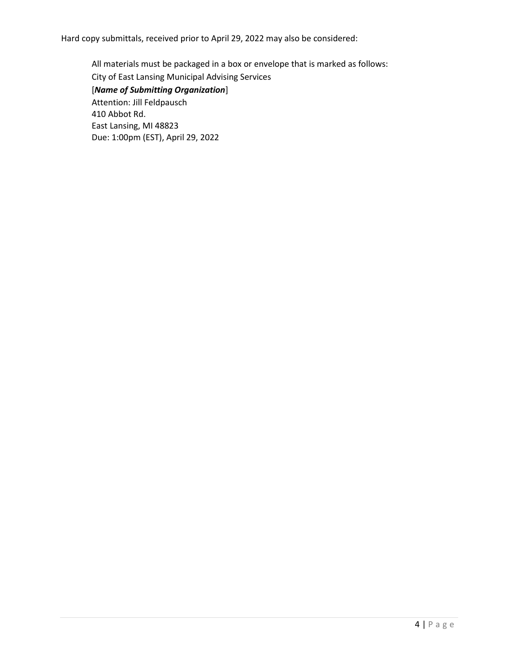Hard copy submittals, received prior to April 29, 2022 may also be considered:

All materials must be packaged in a box or envelope that is marked as follows: City of East Lansing Municipal Advising Services [*Name of Submitting Organization*] Attention: Jill Feldpausch 410 Abbot Rd. East Lansing, MI 48823 Due: 1:00pm (EST), April 29, 2022